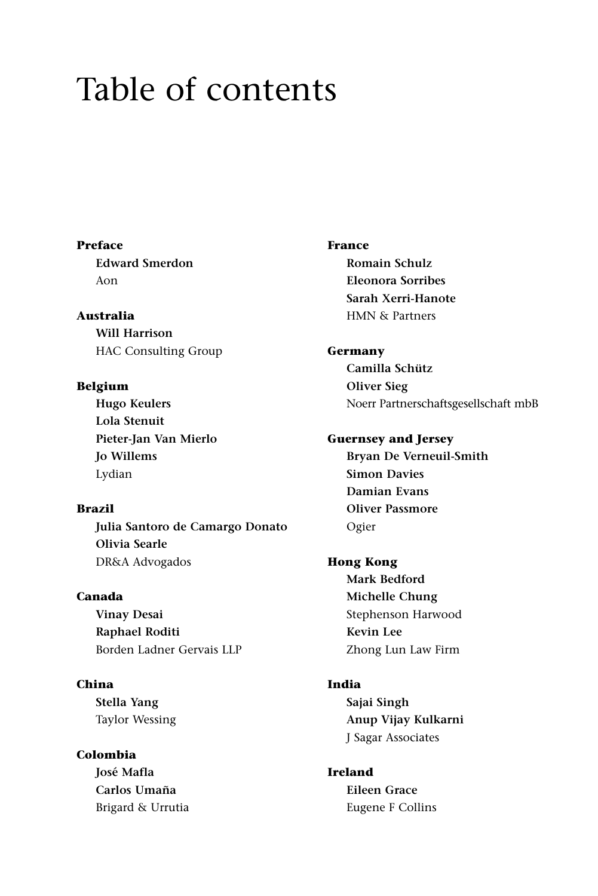# Table of contents

**Preface Edward Smerdon** Aon

**Australia Will Harrison** HAC Consulting Group

**Belgium Hugo Keulers Lola Stenuit Pieter-Jan Van Mierlo Jo Willems** Lydian

**Brazil Julia Santoro de Camargo Donato Olivia Searle** DR&A Advogados

**Canada Vinay Desai Raphael Roditi** Borden Ladner Gervais LLP

**China**

**Stella Yang** Taylor Wessing

**Colombia José Mafla Carlos Umaña** Brigard & Urrutia **France**

**Romain Schulz Eleonora Sorribes Sarah Xerri-Hanote** HMN & Partners

**Germany Camilla Schütz Oliver Sieg** Noerr Partnerschaftsgesellschaft mbB

**Guernsey and Jersey Bryan De Verneuil-Smith**

**Simon Davies Damian Evans Oliver Passmore** Ogier

**Hong Kong Mark Bedford Michelle Chung** Stephenson Harwood **Kevin Lee** Zhong Lun Law Firm

**India Sajai Singh Anup Vijay Kulkarni** J Sagar Associates

**Ireland Eileen Grace** Eugene F Collins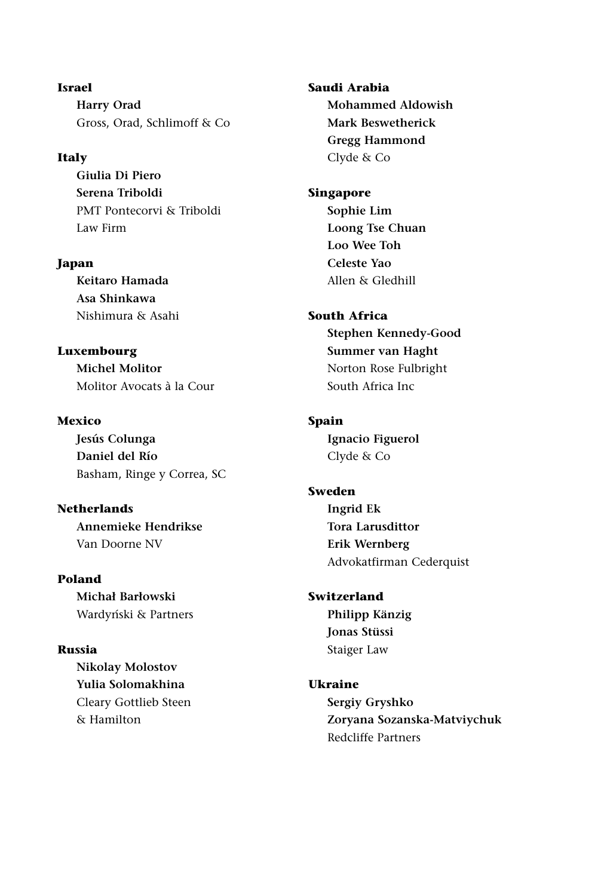**Israel Harry Orad** Gross, Orad, Schlimoff & Co

#### **Italy**

**Giulia Di Piero Serena Triboldi** PMT Pontecorvi & Triboldi Law Firm

**Japan Keitaro Hamada Asa Shinkawa** Nishimura & Asahi

**Luxembourg Michel Molitor** Molitor Avocats à la Cour

**Mexico Jesús Colunga Daniel del Río** Basham, Ringe y Correa, SC

**Netherlands Annemieke Hendrikse** Van Doorne NV

#### **Poland**

**Michał Barłowski** Wardyński & Partners

#### **Russia**

**Nikolay Molostov Yulia Solomakhina** Cleary Gottlieb Steen & Hamilton

**Saudi Arabia Mohammed Aldowish Mark Beswetherick Gregg Hammond** Clyde & Co

#### **Singapore**

**Sophie Lim Loong Tse Chuan Loo Wee Toh Celeste Yao** Allen & Gledhill

#### **South Africa**

**Stephen Kennedy-Good Summer van Haght** Norton Rose Fulbright South Africa Inc

#### **Spain**

**Ignacio Figuerol** Clyde & Co

#### **Sweden**

**Ingrid Ek Tora Larusdittor Erik Wernberg** Advokatfirman Cederquist

### **Switzerland**

**Philipp Känzig Jonas Stüssi** Staiger Law

### **Ukraine**

**Sergiy Gryshko Zoryana Sozanska-Matviychuk** Redcliffe Partners